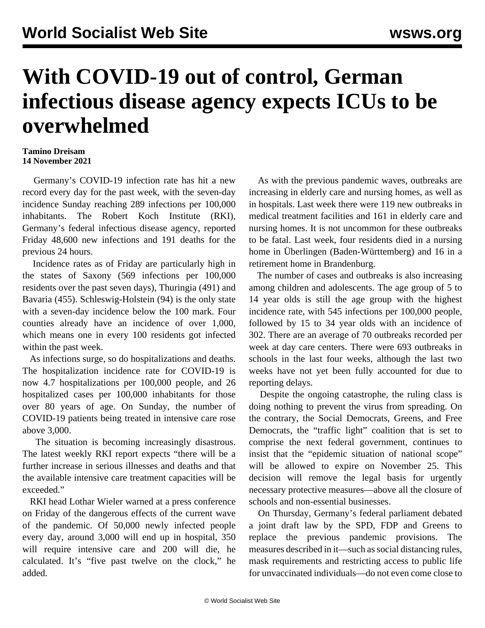## **With COVID-19 out of control, German infectious disease agency expects ICUs to be overwhelmed**

## **Tamino Dreisam 14 November 2021**

 Germany's COVID-19 infection rate has hit a new record every day for the past week, with the seven-day incidence Sunday reaching 289 infections per 100,000 inhabitants. The Robert Koch Institute (RKI), Germany's federal infectious disease agency, reported Friday 48,600 new infections and 191 deaths for the previous 24 hours.

 Incidence rates as of Friday are particularly high in the states of Saxony (569 infections per 100,000 residents over the past seven days), Thuringia (491) and Bavaria (455). Schleswig-Holstein (94) is the only state with a seven-day incidence below the 100 mark. Four counties already have an incidence of over 1,000, which means one in every 100 residents got infected within the past week.

 As infections surge, so do hospitalizations and deaths. The hospitalization incidence rate for COVID-19 is now 4.7 hospitalizations per 100,000 people, and 26 hospitalized cases per 100,000 inhabitants for those over 80 years of age. On Sunday, the number of COVID-19 patients being treated in intensive care rose above 3,000.

 The situation is becoming increasingly disastrous. The latest weekly RKI report expects "there will be a further increase in serious illnesses and deaths and that the available intensive care treatment capacities will be exceeded."

 RKI head Lothar Wieler warned at a press conference on Friday of the dangerous effects of the current wave of the pandemic. Of 50,000 newly infected people every day, around 3,000 will end up in hospital, 350 will require intensive care and 200 will die, he calculated. It's "five past twelve on the clock," he added.

 As with the previous pandemic waves, outbreaks are increasing in elderly care and nursing homes, as well as in hospitals. Last week there were 119 new outbreaks in medical treatment facilities and 161 in elderly care and nursing homes. It is not uncommon for these outbreaks to be fatal. Last week, four residents died in a nursing home in Überlingen (Baden-Württemberg) and 16 in a retirement home in Brandenburg.

 The number of cases and outbreaks is also increasing among children and adolescents. The age group of 5 to 14 year olds is still the age group with the highest incidence rate, with 545 infections per 100,000 people, followed by 15 to 34 year olds with an incidence of 302. There are an average of 70 outbreaks recorded per week at day care centers. There were 693 outbreaks in schools in the last four weeks, although the last two weeks have not yet been fully accounted for due to reporting delays.

 Despite the ongoing catastrophe, the ruling class is doing nothing to prevent the virus from spreading. On the contrary, the Social Democrats, Greens, and Free Democrats, the "traffic light" coalition that is set to comprise the next federal government, continues to insist that the "epidemic situation of national scope" will be allowed to expire on November 25. This decision will remove the legal basis for urgently necessary protective measures—above all the closure of schools and non-essential businesses.

 On Thursday, Germany's federal parliament debated a joint draft law by the SPD, FDP and Greens to replace the previous pandemic provisions. The measures described in it—such as social distancing rules, mask requirements and restricting access to public life for unvaccinated individuals—do not even come close to